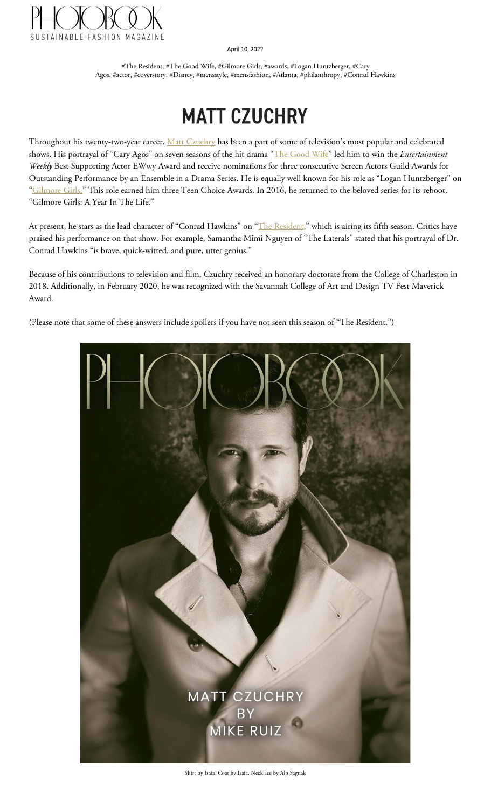

April 10, 2022

#The Resident, #The Good Wife, #Gilmore Girls, #awards, #Logan Huntzberger, #Cary Agos, #actor, #coverstory, #Disney, #mensstyle, #mensfashion, #Atlanta, #philanthropy, #Conrad Hawkins

# **MATT CZUCHRY**

Throughout his twenty-two-year career, [Matt Czuchry](https://mattczuchryofficial.com) has been a part of some of television's most popular and celebrated shows. His portrayal of "Cary Agos" on seven seasons of the hit drama ["The Good Wife"](https://www.imdb.com/name/nm0194516/) led him to win the *Entertainment Weekly* Best Supporting Actor EWwy Award and receive nominations for three consecutive Screen Actors Guild Awards for Outstanding Performance by an Ensemble in a Drama Series. He is equally well known for his role as "Logan Huntzberger" on ["Gilmore Girls."](https://www.imdb.com/name/nm0194516/) This role earned him three Teen Choice Awards. In 2016, he returned to the beloved series for its reboot, "Gilmore Girls: A Year In The Life."

At present, he stars as the lead character of "Conrad Hawkins" on ["The Resident,"](https://www.imdb.com/name/nm0194516/) which is airing its fifth season. Critics have praised his performance on that show. For example, Samantha Mimi Nguyen of "The Laterals" stated that his portrayal of Dr. Conrad Hawkins "is brave, quick-witted, and pure, utter genius."

Because of his contributions to television and film, Czuchry received an honorary doctorate from the College of Charleston in 2018. Additionally, in February 2020, he was recognized with the Savannah College of Art and Design TV Fest Maverick Award.

(Please note that some of these answers include spoilers if you have not seen this season of "The Resident.")



Shirt by Isaia, Coat by Isaia, Necklace by Alp Sagnak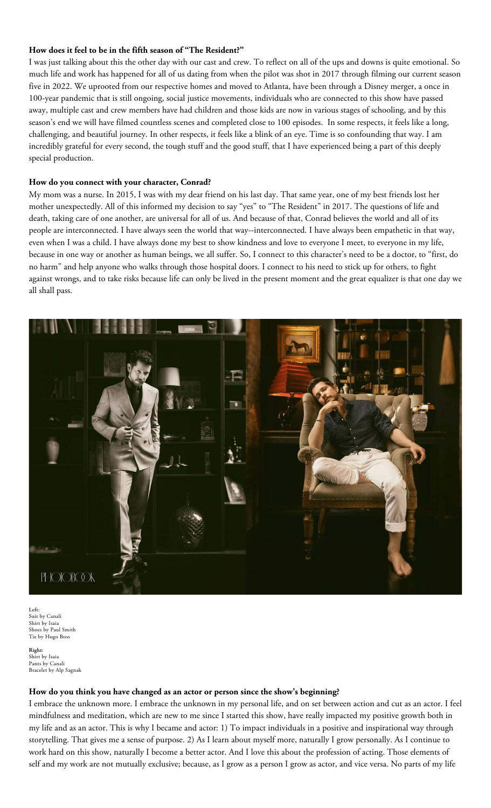## **How does it feel to be in the fifth season of "The Resident?"**

I was just talking about this the other day with our cast and crew. To reflect on all of the ups and downs is quite emotional. So much life and work has happened for all of us dating from when the pilot was shot in 2017 through filming our current season five in 2022. We uprooted from our respective homes and moved to Atlanta, have been through a Disney merger, a once in 100-year pandemic that is still ongoing, social justice movements, individuals who are connected to this show have passed away, multiple cast and crew members have had children and those kids are now in various stages of schooling, and by this season's end we will have filmed countless scenes and completed close to 100 episodes. In some respects, it feels like a long, challenging, and beautiful journey. In other respects, it feels like a blink of an eye. Time is so confounding that way. I am incredibly grateful for every second, the tough stuff and the good stuff, that I have experienced being a part of this deeply special production.

### **How do you connect with your character, Conrad?**

My mom was a nurse. In 2015, I was with my dear friend on his last day. That same year, one of my best friends lost her mother unexpectedly. All of this informed my decision to say "yes" to "The Resident" in 2017. The questions of life and death, taking care of one another, are universal for all of us. And because of that, Conrad believes the world and all of its people are interconnected. I have always seen the world that way--interconnected. I have always been empathetic in that way, even when I was a child. I have always done my best to show kindness and love to everyone I meet, to everyone in my life, because in one way or another as human beings, we all suffer. So, I connect to this character's need to be a doctor, to "first, do no harm" and help anyone who walks through those hospital doors. I connect to his need to stick up for others, to fight against wrongs, and to take risks because life can only be lived in the present moment and the great equalizer is that one day we all shall pass.



**Left:** Suit by Canali Shirt by Isaia Shoes by Paul Smith Tie by Hugo Boss

**Right:**  Shirt by Isaia Pants by Canali Bracelet by Alp Sagnak

#### **How do you think you have changed as an actor or person since the show's beginning?**

I embrace the unknown more. I embrace the unknown in my personal life, and on set between action and cut as an actor. I feel mindfulness and meditation, which are new to me since I started this show, have really impacted my positive growth both in my life and as an actor. This is why I became and actor: 1) To impact individuals in a positive and inspirational way through storytelling. That gives me a sense of purpose. 2) As I learn about myself more, naturally I grow personally. As I continue to work hard on this show, naturally I become a better actor. And I love this about the profession of acting. Those elements of self and my work are not mutually exclusive; because, as I grow as a person I grow as actor, and vice versa. No parts of my life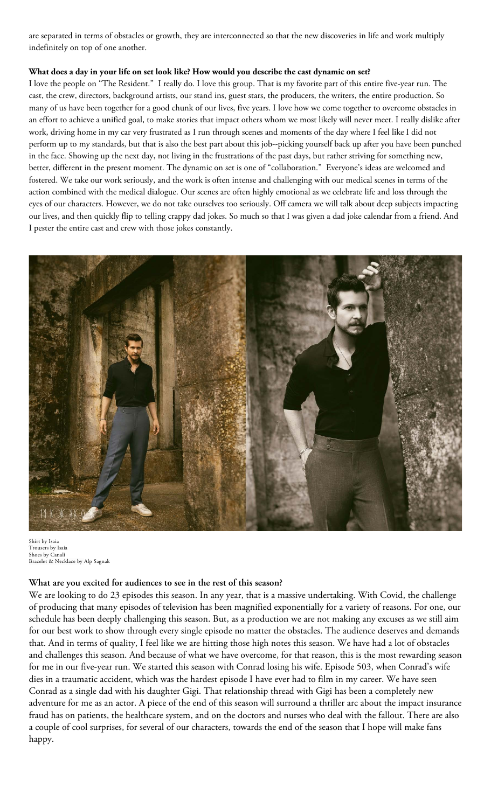are separated in terms of obstacles or growth, they are interconnected so that the new discoveries in life and work multiply indefinitely on top of one another.

## **What does a day in your life on set look like? How would you describe the cast dynamic on set?**

I love the people on "The Resident." I really do. I love this group. That is my favorite part of this entire five-year run. The cast, the crew, directors, background artists, our stand ins, guest stars, the producers, the writers, the entire production. So many of us have been together for a good chunk of our lives, five years. I love how we come together to overcome obstacles in an effort to achieve a unified goal, to make stories that impact others whom we most likely will never meet. I really dislike after work, driving home in my car very frustrated as I run through scenes and moments of the day where I feel like I did not perform up to my standards, but that is also the best part about this job--picking yourself back up after you have been punched in the face. Showing up the next day, not living in the frustrations of the past days, but rather striving for something new, better, different in the present moment. The dynamic on set is one of "collaboration." Everyone's ideas are welcomed and fostered. We take our work seriously, and the work is often intense and challenging with our medical scenes in terms of the action combined with the medical dialogue. Our scenes are often highly emotional as we celebrate life and loss through the eyes of our characters. However, we do not take ourselves too seriously. Off camera we will talk about deep subjects impacting our lives, and then quickly flip to telling crappy dad jokes. So much so that I was given a dad joke calendar from a friend. And I pester the entire cast and crew with those jokes constantly.



Shirt by Isaia Trousers by Isaia Shoes by Canali Bracelet & Necklace by Alp Sagnak

# **What are you excited for audiences to see in the rest of this season?**

We are looking to do 23 episodes this season. In any year, that is a massive undertaking. With Covid, the challenge of producing that many episodes of television has been magnified exponentially for a variety of reasons. For one, our schedule has been deeply challenging this season. But, as a production we are not making any excuses as we still aim for our best work to show through every single episode no matter the obstacles. The audience deserves and demands that. And in terms of quality, I feel like we are hitting those high notes this season. We have had a lot of obstacles and challenges this season. And because of what we have overcome, for that reason, this is the most rewarding season for me in our five-year run. We started this season with Conrad losing his wife. Episode 503, when Conrad's wife dies in a traumatic accident, which was the hardest episode I have ever had to film in my career. We have seen Conrad as a single dad with his daughter Gigi. That relationship thread with Gigi has been a completely new adventure for me as an actor. A piece of the end of this season will surround a thriller arc about the impact insurance fraud has on patients, the healthcare system, and on the doctors and nurses who deal with the fallout. There are also a couple of cool surprises, for several of our characters, towards the end of the season that I hope will make fans happy.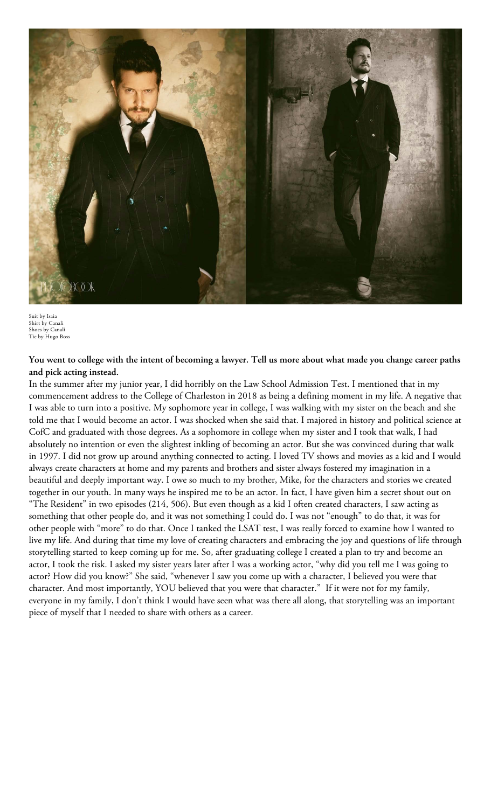

Suit by Isaia Shirt by Canali Shoes by Canali Tie by Hugo Boss

**You went to college with the intent of becoming a lawyer. Tell us more about what made you change career paths and pick acting instead.**

In the summer after my junior year, I did horribly on the Law School Admission Test. I mentioned that in my commencement address to the College of Charleston in 2018 as being a defining moment in my life. A negative that I was able to turn into a positive. My sophomore year in college, I was walking with my sister on the beach and she told me that I would become an actor. I was shocked when she said that. I majored in history and political science at CofC and graduated with those degrees. As a sophomore in college when my sister and I took that walk, I had absolutely no intention or even the slightest inkling of becoming an actor. But she was convinced during that walk in 1997. I did not grow up around anything connected to acting. I loved TV shows and movies as a kid and I would always create characters at home and my parents and brothers and sister always fostered my imagination in a beautiful and deeply important way. I owe so much to my brother, Mike, for the characters and stories we created together in our youth. In many ways he inspired me to be an actor. In fact, I have given him a secret shout out on "The Resident" in two episodes (214, 506). But even though as a kid I often created characters, I saw acting as something that other people do, and it was not something I could do. I was not "enough" to do that, it was for other people with "more" to do that. Once I tanked the LSAT test, I was really forced to examine how I wanted to live my life. And during that time my love of creating characters and embracing the joy and questions of life through storytelling started to keep coming up for me. So, after graduating college I created a plan to try and become an actor, I took the risk. I asked my sister years later after I was a working actor, "why did you tell me I was going to actor? How did you know?" She said, "whenever I saw you come up with a character, I believed you were that character. And most importantly, YOU believed that you were that character." If it were not for my family, everyone in my family, I don't think I would have seen what was there all along, that storytelling was an important piece of myself that I needed to share with others as a career.